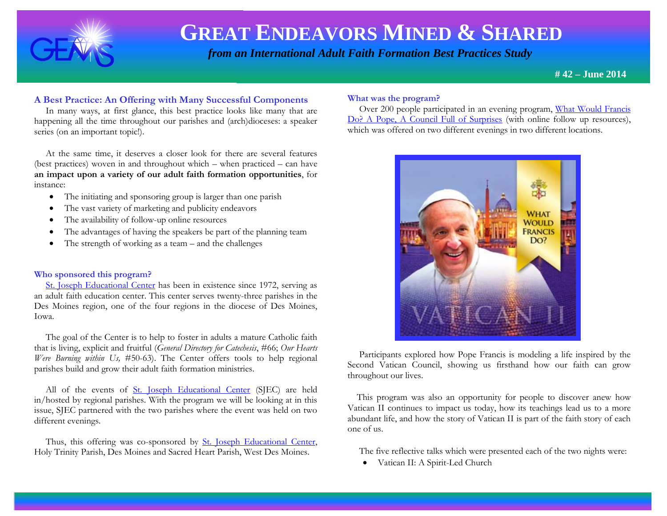

 *from an International Adult Faith Formation Best Practices Study*

**# 42 – June 2014**

### **A Best Practice: An Offering with Many Successful Components**

 In many ways, at first glance, this best practice looks like many that are happening all the time throughout our parishes and (arch)dioceses: a speaker series (on an important topic!).

 At the same time, it deserves a closer look for there are several features (best practices) woven in and throughout which – when practiced – can have **an impact upon a variety of our adult faith formation opportunities**, for instance:

- The initiating and sponsoring group is larger than one parish
- The vast variety of marketing and publicity endeavors
- The availability of follow-up online resources
- The advantages of having the speakers be part of the planning team
- The strength of working as a team and the challenges

### **Who sponsored this program?**

 [St. Joseph Educational Center](http://sjeciowa.org/) has been in existence since 1972, serving as an adult faith education center. This center serves twenty-three parishes in the Des Moines region, one of the four regions in the diocese of Des Moines, Iowa.

 The goal of the Center is to help to foster in adults a mature Catholic faith that is living, explicit and fruitful (*General Directory for Catechesis*, #66; *Our Hearts Were Burning within Us,* #50-63). The Center offers tools to help regional parishes build and grow their adult faith formation ministries.

 All of the events of [St. Joseph Educational Center](http://sjeciowa.org/) (SJEC) are held in/hosted by regional parishes. With the program we will be looking at in this issue, SJEC partnered with the two parishes where the event was held on two different evenings.

 Thus, this offering was co-sponsored by [St. Joseph Educational Center,](http://sjeciowa.org/) Holy Trinity Parish, Des Moines and Sacred Heart Parish, West Des Moines.

#### **What was the program?**

 Over 200 people participated in an evening program, [What Would Francis](http://sjeciowa.org/what-would-francis-do-a-pope-a-council-full-of-surprises)  [Do? A Pope, A Council Full of Surprises](http://sjeciowa.org/what-would-francis-do-a-pope-a-council-full-of-surprises) (with online follow up resources), which was offered on two different evenings in two different locations.



 Participants explored how Pope Francis is modeling a life inspired by the Second Vatican Council, showing us firsthand how our faith can grow throughout our lives.

 This program was also an opportunity for people to discover anew how Vatican II continues to impact us today, how its teachings lead us to a more abundant life, and how the story of Vatican II is part of the faith story of each one of us.

The five reflective talks which were presented each of the two nights were:

Vatican II: A Spirit-Led Church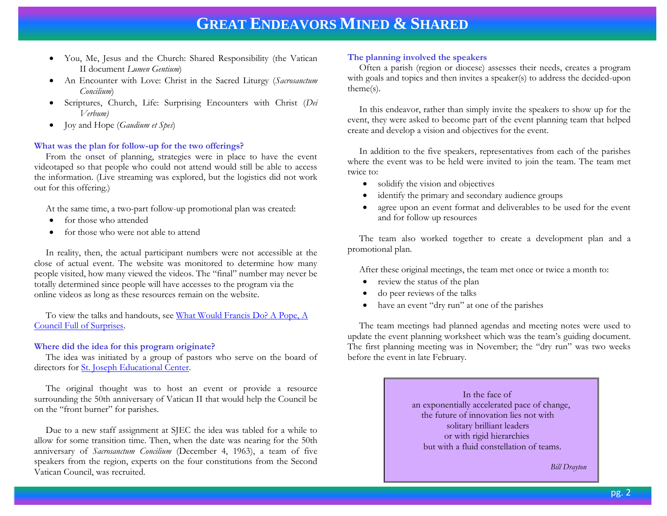- You, Me, Jesus and the Church: Shared Responsibility (the Vatican II document *Lumen Gentium*)
- An Encounter with Love: Christ in the Sacred Liturgy (*Sacrosanctum Concilium*)
- Scriptures, Church, Life: Surprising Encounters with Christ (*Dei Verbum)*
- Joy and Hope (*Gaudium et Spes*)

### **What was the plan for follow-up for the two offerings?**

 From the onset of planning, strategies were in place to have the event videotaped so that people who could not attend would still be able to access the information. (Live streaming was explored, but the logistics did not work out for this offering.)

At the same time, a two-part follow-up promotional plan was created:

- for those who attended
- for those who were not able to attend

 In reality, then, the actual participant numbers were not accessible at the close of actual event. The website was monitored to determine how many people visited, how many viewed the videos. The "final" number may never be totally determined since people will have accesses to the program via the online videos as long as these resources remain on the website.

 To view the talks and handouts, see [What Would Francis Do? A Pope, A](http://sjeciowa.org/what-would-francis-do-a-pope-a-council-full-of-surprises)  [Council Full of Surprises.](http://sjeciowa.org/what-would-francis-do-a-pope-a-council-full-of-surprises)

#### **Where did the idea for this program originate?**

 The idea was initiated by a group of pastors who serve on the board of directors for <u>St. Joseph Educational Center</u>.

 The original thought was to host an event or provide a resource surrounding the 50th anniversary of Vatican II that would help the Council be on the "front burner" for parishes.

 Due to a new staff assignment at SJEC the idea was tabled for a while to allow for some transition time. Then, when the date was nearing for the 50th anniversary of *Sacrosanctum Concilium* (December 4, 1963), a team of five speakers from the region, experts on the four constitutions from the Second Vatican Council, was recruited.

### **The planning involved the speakers**

 Often a parish (region or diocese) assesses their needs, creates a program with goals and topics and then invites a speaker(s) to address the decided-upon theme(s).

 In this endeavor, rather than simply invite the speakers to show up for the event, they were asked to become part of the event planning team that helped create and develop a vision and objectives for the event.

 In addition to the five speakers, representatives from each of the parishes where the event was to be held were invited to join the team. The team met twice to:

- solidify the vision and objectives
- identify the primary and secondary audience groups
- agree upon an event format and deliverables to be used for the event and for follow up resources

 The team also worked together to create a development plan and a promotional plan.

After these original meetings, the team met once or twice a month to:

- review the status of the plan
- do peer reviews of the talks
- have an event "dry run" at one of the parishes

 The team meetings had planned agendas and meeting notes were used to update the event planning worksheet which was the team's guiding document. The first planning meeting was in November; the "dry run" was two weeks before the event in late February.

> In the face of an exponentially accelerated pace of change, the future of innovation lies not with solitary brilliant leaders or with rigid hierarchies but with a fluid constellation of teams.

> > *Bill Drayton*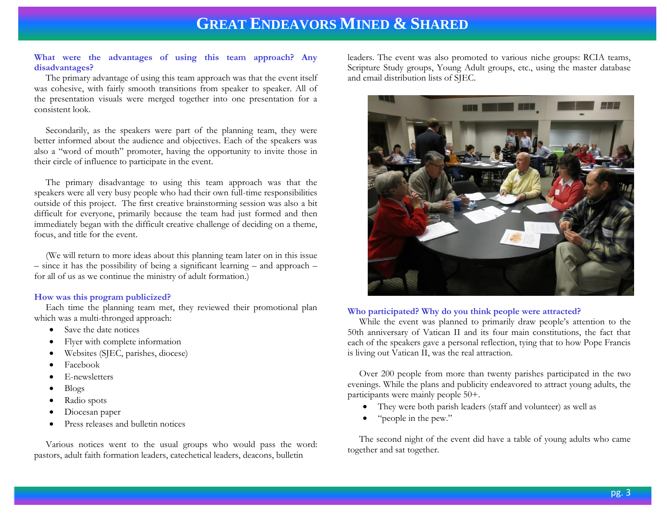### **What were the advantages of using this team approach? Any disadvantages?**

 The primary advantage of using this team approach was that the event itself was cohesive, with fairly smooth transitions from speaker to speaker. All of the presentation visuals were merged together into one presentation for a consistent look.

 Secondarily, as the speakers were part of the planning team, they were better informed about the audience and objectives. Each of the speakers was also a "word of mouth" promoter, having the opportunity to invite those in their circle of influence to participate in the event.

 The primary disadvantage to using this team approach was that the speakers were all very busy people who had their own full-time responsibilities outside of this project. The first creative brainstorming session was also a bit difficult for everyone, primarily because the team had just formed and then immediately began with the difficult creative challenge of deciding on a theme, focus, and title for the event.

 (We will return to more ideas about this planning team later on in this issue – since it has the possibility of being a significant learning – and approach – for all of us as we continue the ministry of adult formation.)

### **How was this program publicized?**

 Each time the planning team met, they reviewed their promotional plan which was a multi-thronged approach:

- Save the date notices
- Flyer with complete information
- Websites (SJEC, parishes, diocese)
- Facebook
- E-newsletters
- $\bullet$  Blogs
- Radio spots
- Diocesan paper
- Press releases and bulletin notices

 Various notices went to the usual groups who would pass the word: pastors, adult faith formation leaders, catechetical leaders, deacons, bulletin

leaders. The event was also promoted to various niche groups: RCIA teams, Scripture Study groups, Young Adult groups, etc., using the master database and email distribution lists of SJEC.



#### **Who participated? Why do you think people were attracted?**

 While the event was planned to primarily draw people's attention to the 50th anniversary of Vatican II and its four main constitutions, the fact that each of the speakers gave a personal reflection, tying that to how Pope Francis is living out Vatican II, was the real attraction.

 Over 200 people from more than twenty parishes participated in the two evenings. While the plans and publicity endeavored to attract young adults, the participants were mainly people 50+.

- They were both parish leaders (staff and volunteer) as well as
- "people in the pew."

 The second night of the event did have a table of young adults who came together and sat together.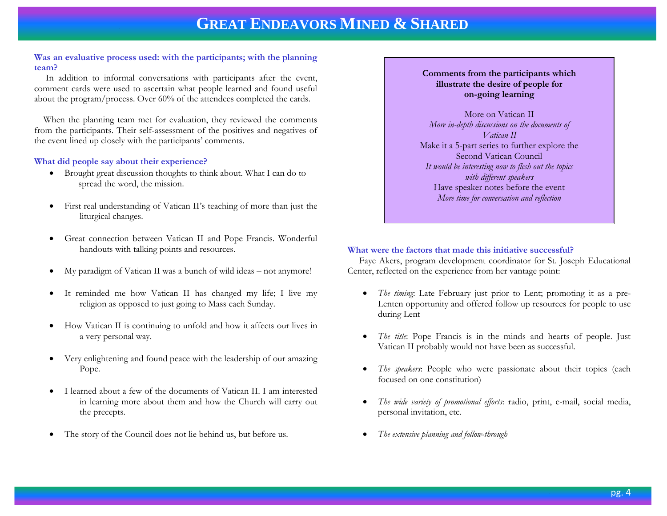### **Was an evaluative process used: with the participants; with the planning team?**

 In addition to informal conversations with participants after the event, comment cards were used to ascertain what people learned and found useful about the program/process. Over 60% of the attendees completed the cards.

 When the planning team met for evaluation, they reviewed the comments from the participants. Their self-assessment of the positives and negatives of the event lined up closely with the participants' comments.

### **What did people say about their experience?**

- Brought great discussion thoughts to think about. What I can do to spread the word, the mission.
- First real understanding of Vatican II's teaching of more than just the liturgical changes.
- Great connection between Vatican II and Pope Francis. Wonderful handouts with talking points and resources.
- My paradigm of Vatican II was a bunch of wild ideas not anymore!
- It reminded me how Vatican II has changed my life; I live my religion as opposed to just going to Mass each Sunday.
- How Vatican II is continuing to unfold and how it affects our lives in a very personal way.
- Very enlightening and found peace with the leadership of our amazing Pope.
- I learned about a few of the documents of Vatican II. I am interested in learning more about them and how the Church will carry out the precepts.
- The story of the Council does not lie behind us, but before us.

### **Comments from the participants which illustrate the desire of people for on-going learning**

More on Vatican II *More in-depth discussions on the documents of Vatican II* Make it a 5-part series to further explore the Second Vatican Council *It would be interesting now to flesh out the topics with different speakers* Have speaker notes before the event *More time for conversation and reflection* 

### **What were the factors that made this initiative successful?**

 Faye Akers, program development coordinator for St. Joseph Educational Center, reflected on the experience from her vantage point:

- *The timing*: Late February just prior to Lent; promoting it as a pre-Lenten opportunity and offered follow up resources for people to use during Lent
- *The title*: Pope Francis is in the minds and hearts of people. Just Vatican II probably would not have been as successful.
- *The speakers*: People who were passionate about their topics (each focused on one constitution)
- *The wide variety of promotional efforts*: radio, print, e-mail, social media, personal invitation, etc.
- *The extensive planning and follow-through*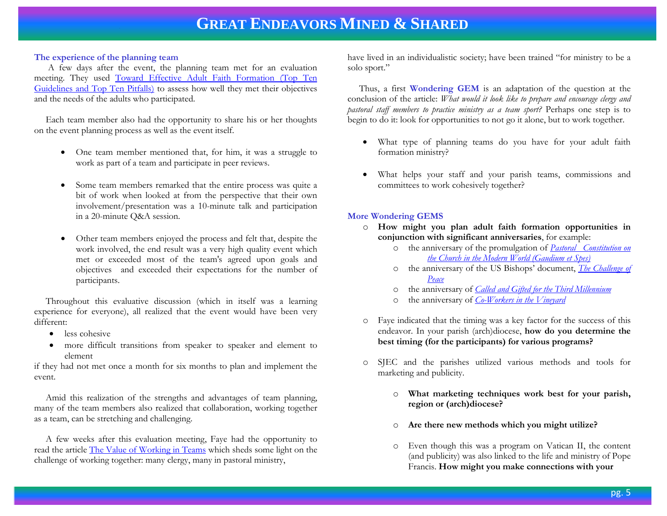### **The experience of the planning team**

 A few days after the event, the planning team met for an evaluation meeting. They used [Toward Effective Adult Faith Formation \(Top Ten](http://www.archbalt.org/evangelization/adult-faith/loader.cfm?csModule=security/getfile&PageID=15622)  [Guidelines and Top Ten Pitfalls\)](http://www.archbalt.org/evangelization/adult-faith/loader.cfm?csModule=security/getfile&PageID=15622) to assess how well they met their objectives and the needs of the adults who participated.

 Each team member also had the opportunity to share his or her thoughts on the event planning process as well as the event itself.

- One team member mentioned that, for him, it was a struggle to work as part of a team and participate in peer reviews.
- Some team members remarked that the entire process was quite a bit of work when looked at from the perspective that their own involvement/presentation was a 10-minute talk and participation in a 20-minute Q&A session.
- Other team members enjoyed the process and felt that, despite the work involved, the end result was a very high quality event which met or exceeded most of the team's agreed upon goals and objectives and exceeded their expectations for the number of participants.

 Throughout this evaluative discussion (which in itself was a learning experience for everyone), all realized that the event would have been very different:

- less cohesive
- more difficult transitions from speaker to speaker and element to element

if they had not met once a month for six months to plan and implement the event.

 Amid this realization of the strengths and advantages of team planning, many of the team members also realized that collaboration, working together as a team, can be stretching and challenging.

 A few weeks after this evaluation meeting, Faye had the opportunity to read the article [The Value of Working in Teams](http://www.faithandleadership.com/blog/04-04-2013/the-value-working-teams?page=full?utm) which sheds some light on the challenge of working together: many clergy, many in pastoral ministry,

have lived in an individualistic society; have been trained "for ministry to be a solo sport."

 Thus, a first **Wondering GEM** is an adaptation of the question at the conclusion of the article: *What would it look like to prepare and encourage clergy and pastoral staff members to practice ministry as a team sport?* Perhaps one step is to begin to do it: look for opportunities to not go it alone, but to work together.

- What type of planning teams do you have for your adult faith formation ministry?
- What helps your staff and your parish teams, commissions and committees to work cohesively together?

### **More Wondering GEMS**

- o **How might you plan adult faith formation opportunities in conjunction with significant anniversaries**, for example:
	- o the anniversary of the promulgation of *[Pastoral Constitution on](http://www.vatican.va/archive/hist_councils/ii_vatican_council/documents/vat-ii_cons_19651207_gaudium-et-spes_en.html)  [the Church in the Modern World \(Gaudium et Spes\)](http://www.vatican.va/archive/hist_councils/ii_vatican_council/documents/vat-ii_cons_19651207_gaudium-et-spes_en.html)*
	- o the anniversary of the US Bishops' document, *[The Challenge of](http://www.usccb.org/issues-and-action/human-life-and-dignity/war-and-peace/nuclear-weapons/upload/statement-the-challenge-of-peace-1983-05-03.pdf)  [Peace](http://www.usccb.org/issues-and-action/human-life-and-dignity/war-and-peace/nuclear-weapons/upload/statement-the-challenge-of-peace-1983-05-03.pdf)*
	- o the anniversary of *[Called and Gifted for the Third](http://www.usccb.org/about/laity-marriage-family-life-and-youth/laity/called-and-gifted-for-the-third-millennium.cfm) Millennium*
	- the anniversary of *[Co-Workers in the Vineyard](http://www.usccb.org/upload/co-workers-vineyard-lay-ecclesial-ministry-2005.pdf)*
- o Faye indicated that the timing was a key factor for the success of this endeavor. In your parish (arch)diocese, **how do you determine the best timing (for the participants) for various programs?**
- o SJEC and the parishes utilized various methods and tools for marketing and publicity.
	- o **What marketing techniques work best for your parish, region or (arch)diocese?**
	- o **Are there new methods which you might utilize?**
	- o Even though this was a program on Vatican II, the content (and publicity) was also linked to the life and ministry of Pope Francis. **How might you make connections with your**